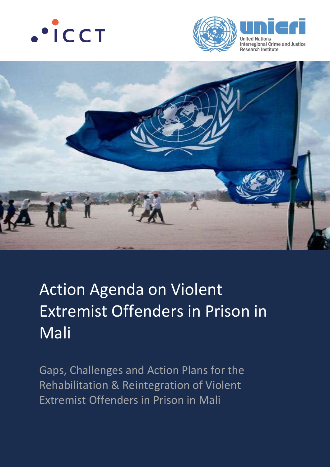







# Action Agenda on Violent Extremist Offenders in Prison in Mali

Gaps, Challenges and Action Plans for the Rehabilitation & Reintegration of Violent Extremist Offenders in Prison in Mali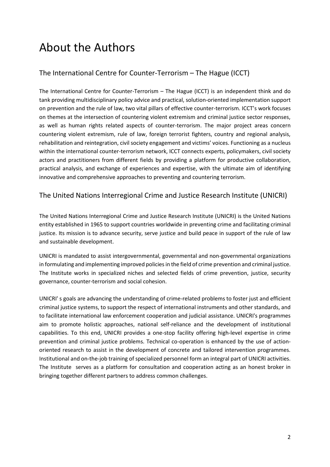# About the Authors

### The International Centre for Counter-Terrorism – The Hague (ICCT)

The International Centre for Counter-Terrorism – The Hague (ICCT) is an independent think and do tank providing multidisciplinary policy advice and practical, solution-oriented implementation support on prevention and the rule of law, two vital pillars of effective counter-terrorism. ICCT's work focuses on themes at the intersection of countering violent extremism and criminal justice sector responses, as well as human rights related aspects of counter-terrorism. The major project areas concern countering violent extremism, rule of law, foreign terrorist fighters, country and regional analysis, rehabilitation and reintegration, civil society engagement and victims' voices. Functioning as a nucleus within the international counter-terrorism network, ICCT connects experts, policymakers, civil society actors and practitioners from different fields by providing a platform for productive collaboration, practical analysis, and exchange of experiences and expertise, with the ultimate aim of identifying innovative and comprehensive approaches to preventing and countering terrorism.

### The United Nations Interregional Crime and Justice Research Institute (UNICRI)

The United Nations Interregional Crime and Justice Research Institute (UNICRI) is the United Nations entity established in 1965 to support countries worldwide in preventing crime and facilitating criminal justice. Its mission is to advance security, serve justice and build peace in support of the rule of law and sustainable development.

UNICRI is mandated to assist intergovernmental, governmental and non-governmental organizations in formulating and implementing improved policies in the field of crime prevention and criminal justice. The Institute works in specialized niches and selected fields of crime prevention, justice, security governance, counter-terrorism and social cohesion.

UNICRI' s goals are advancing the understanding of crime-related problems to foster just and efficient criminal justice systems, to support the respect of international instruments and other standards, and to facilitate international law enforcement cooperation and judicial assistance. UNICRI's programmes aim to promote holistic approaches, national self-reliance and the development of institutional capabilities. To this end, UNICRI provides a one-stop facility offering high-level expertise in crime prevention and criminal justice problems. Technical co-operation is enhanced by the use of actionoriented research to assist in the development of concrete and tailored intervention programmes. Institutional and on-the-job training of specialized personnel form an integral part of UNICRI activities. The Institute serves as a platform for consultation and cooperation acting as an honest broker in bringing together different partners to address common challenges.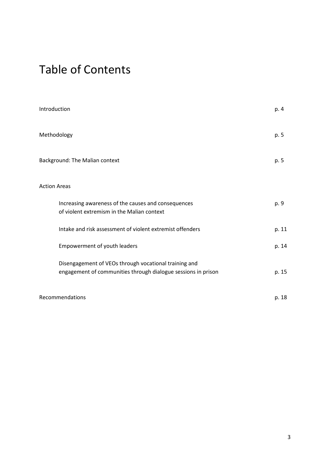# Table of Contents

| Introduction                                                                                                           | p. 4  |
|------------------------------------------------------------------------------------------------------------------------|-------|
| Methodology                                                                                                            | p. 5  |
| Background: The Malian context                                                                                         | p. 5  |
| <b>Action Areas</b>                                                                                                    |       |
| Increasing awareness of the causes and consequences<br>of violent extremism in the Malian context                      | p. 9  |
| Intake and risk assessment of violent extremist offenders                                                              | p. 11 |
| Empowerment of youth leaders                                                                                           | p. 14 |
| Disengagement of VEOs through vocational training and<br>engagement of communities through dialogue sessions in prison | p. 15 |
| Recommendations                                                                                                        | p. 18 |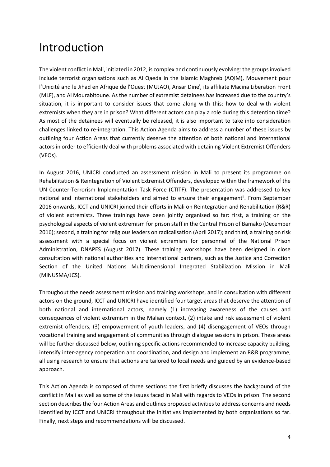# Introduction

The violent conflict in Mali, initiated in 2012, is complex and continuously evolving: the groups involved include terrorist organisations such as Al Qaeda in the Islamic Maghreb (AQIM), Mouvement pour l'Unicité and le Jihad en Afrique de l'Ouest (MUJAO), Ansar Dine<sup>i</sup>, its affiliate Macina Liberation Front (MLF), and Al Mourabitoune. As the number of extremist detainees has increased due to the country's situation, it is important to consider issues that come along with this: how to deal with violent extremists when they are in prison? What different actors can play a role during this detention time? As most of the detainees will eventually be released, it is also important to take into consideration challenges linked to re-integration. This Action Agenda aims to address a number of these issues by outlining four Action Areas that currently deserve the attention of both national and international actors in order to efficiently deal with problems associated with detaining Violent Extremist Offenders (VEOs).

In August 2016, UNICRI conducted an assessment mission in Mali to present its programme on Rehabilitation & Reintegration of Violent Extremist Offenders, developed within the framework of the UN Counter-Terrorism Implementation Task Force (CTITF). The presentation was addressed to key national and international stakeholders and aimed to ensure their engagement<sup>ii</sup>. From September 2016 onwards, ICCT and UNICRI joined their efforts in Mali on Reintegration and Rehabilitation (R&R) of violent extremists. Three trainings have been jointly organised so far: first, a training on the psychological aspects of violent extremism for prison staff in the Central Prison of Bamako (December 2016); second, a training for religious leaders on radicalisation (April 2017); and third, a training on risk assessment with a special focus on violent extremism for personnel of the National Prison Administration, DNAPES (August 2017). These training workshops have been designed in close consultation with national authorities and international partners, such as the Justice and Correction Section of the United Nations Multidimensional Integrated Stabilization Mission in Mali (MINUSMA/JCS).

Throughout the needs assessment mission and training workshops, and in consultation with different actors on the ground, ICCT and UNICRI have identified four target areas that deserve the attention of both national and international actors, namely (1) increasing awareness of the causes and consequences of violent extremism in the Malian context, (2) intake and risk assessment of violent extremist offenders, (3) empowerment of youth leaders, and (4) disengagement of VEOs through vocational training and engagement of communities through dialogue sessions in prison. These areas will be further discussed below, outlining specific actions recommended to increase capacity building, intensify inter-agency cooperation and coordination, and design and implement an R&R programme, all using research to ensure that actions are tailored to local needs and guided by an evidence-based approach.

This Action Agenda is composed of three sections: the first briefly discusses the background of the conflict in Mali as well as some of the issues faced in Mali with regards to VEOs in prison. The second section describes the four Action Areas and outlines proposed activities to address concerns and needs identified by ICCT and UNICRI throughout the initiatives implemented by both organisations so far. Finally, next steps and recommendations will be discussed.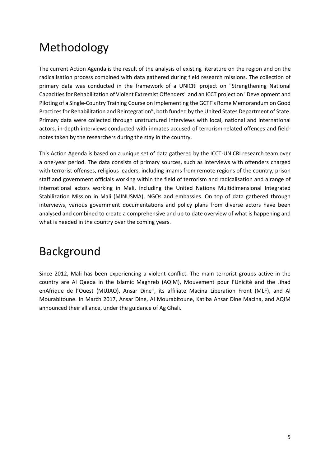# Methodology

The current Action Agenda is the result of the analysis of existing literature on the region and on the radicalisation process combined with data gathered during field research missions. The collection of primary data was conducted in the framework of a UNICRI project on "Strengthening National Capacities for Rehabilitation of Violent Extremist Offenders" and an ICCT project on "Development and Piloting of a Single-Country Training Course on Implementing the GCTF's Rome Memorandum on Good Practices for Rehabilitation and Reintegration", both funded by the United States Department of State. Primary data were collected through unstructured interviews with local, national and international actors, in-depth interviews conducted with inmates accused of terrorism-related offences and fieldnotes taken by the researchers during the stay in the country.

This Action Agenda is based on a unique set of data gathered by the ICCT-UNICRI research team over a one-year period. The data consists of primary sources, such as interviews with offenders charged with terrorist offenses, religious leaders, including imams from remote regions of the country, prison staff and government officials working within the field of terrorism and radicalisation and a range of international actors working in Mali, including the United Nations Multidimensional Integrated Stabilization Mission in Mali (MINUSMA), NGOs and embassies. On top of data gathered through interviews, various government documentations and policy plans from diverse actors have been analysed and combined to create a comprehensive and up to date overview of what is happening and what is needed in the country over the coming years.

# Background

Since 2012, Mali has been experiencing a violent conflict. The main terrorist groups active in the country are Al Qaeda in the Islamic Maghreb (AQIM), Mouvement pour l'Unicité and the Jihad enAfrique de l'Ouest (MUJAO), Ansar Dine<sup>iii</sup>, its affiliate Macina Liberation Front (MLF), and Al Mourabitoune. In March 2017, Ansar Dine, Al Mourabitoune, Katiba Ansar Dine Macina, and AQIM announced their alliance, under the guidance of Ag Ghali.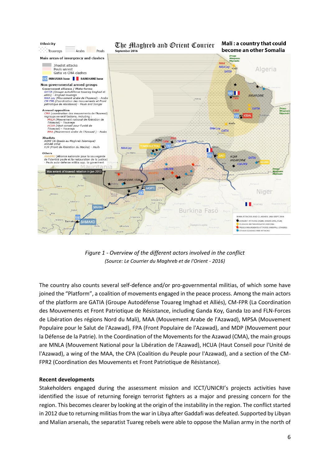

*Figure 1 - Overview of the different actors involved in the conflict (Source: Le Courrier du Maghreb et de l'Orient - 2016)*

The country also counts several self-defence and/or pro-governmental militias, of which some have joined the "Platform", a coalition of movements engaged in the peace process. Among the main actors of the platform are GATIA (Groupe Autodéfense Touareg Imghad et Alliés), CM-FPR (La Coordination des Mouvements et Front Patriotique de Résistance, including Ganda Koy, Ganda Izo and FLN-Forces de Libération des régions Nord du Mali), MAA (Mouvement Arabe de l'Azawad), MPSA (Mouvement Populaire pour le Salut de l'Azawad), FPA (Front Populaire de l'Azawad), and MDP (Mouvement pour la Défense de la Patrie). In the Coordination of the Movements for the Azawad (CMA), the main groups are MNLA (Mouvement National pour la Libération de l'Azawad), HCUA (Haut Conseil pour l'Unité de l'Azawad), a wing of the MAA, the CPA (Coalition du Peuple pour l'Azawad), and a section of the CM-FPR2 (Coordination des Mouvements et Front Patriotique de Résistance).

#### **Recent developments**

Stakeholders engaged during the assessment mission and ICCT/UNICRI's projects activities have identified the issue of returning foreign terrorist fighters as a major and pressing concern for the region. This becomes clearer by looking at the origin of the instability in the region. The conflict started in 2012 due to returning militias from the war in Libya after Gaddafi was defeated. Supported by Libyan and Malian arsenals, the separatist Tuareg rebels were able to oppose the Malian army in the north of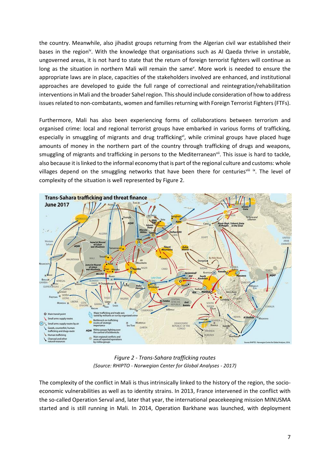the country. Meanwhile, also jihadist groups returning from the Algerian civil war established their bases in the region<sup>iv</sup>. With the knowledge that organisations such as Al Qaeda thrive in unstable, ungoverned areas, it is not hard to state that the return of foreign terrorist fighters will continue as long as the situation in northern Mali will remain the same<sup>y</sup>. More work is needed to ensure the appropriate laws are in place, capacities of the stakeholders involved are enhanced, and institutional approaches are developed to guide the full range of correctional and reintegration/rehabilitation interventions in Mali and the broader Sahel region. This should include consideration of how to address issues related to non-combatants, women and families returning with Foreign Terrorist Fighters (FTFs).

Furthermore, Mali has also been experiencing forms of collaborations between terrorism and organised crime: local and regional terrorist groups have embarked in various forms of trafficking, especially in smuggling of migrants and drug traffickingvi, while criminal groups have placed huge amounts of money in the northern part of the country through trafficking of drugs and weapons, smuggling of migrants and trafficking in persons to the Mediterranean<sup>vii</sup>. This issue is hard to tackle, also because it is linked to the informal economy that is part of the regional culture and customs: whole villages depend on the smuggling networks that have been there for centuriesvili ix. The level of complexity of the situation is well represented by Figure 2.



*Figure 2 - Trans-Sahara trafficking routes (Source: RHIPTO - Norwegian Center for Global Analyses - 2017)*

The complexity of the conflict in Mali is thus intrinsically linked to the history of the region, the socioeconomic vulnerabilities as well as to identity strains. In 2013, France intervened in the conflict with the so-called Operation Serval and, later that year, the international peacekeeping mission MINUSMA started and is still running in Mali. In 2014, Operation Barkhane was launched, with deployment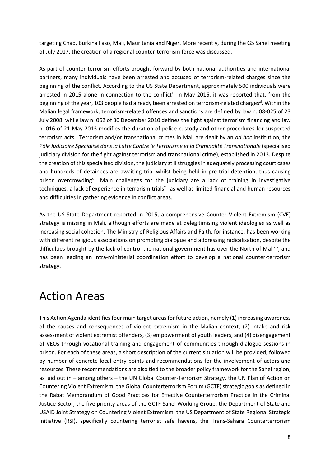targeting Chad, Burkina Faso, Mali, Mauritania and Niger. More recently, during the G5 Sahel meeting of July 2017, the creation of a regional counter-terrorism force was discussed.

As part of counter-terrorism efforts brought forward by both national authorities and international partners, many individuals have been arrested and accused of terrorism-related charges since the beginning of the conflict. According to the US State Department, approximately 500 individuals were arrested in 2015 alone in connection to the conflict<sup>x</sup>. In May 2016, it was reported that, from the beginning of the year, 103 people had already been arrested on terrorism-related charges<sup>xi</sup>. Within the Malian legal framework, terrorism-related offences and sanctions are defined by law n. 08-025 of 23 July 2008, while law n. 062 of 30 December 2010 defines the fight against terrorism financing and law n. 016 of 21 May 2013 modifies the duration of police custody and other procedures for suspected terrorism acts. Terrorism and/or transnational crimes in Mali are dealt by an *ad hoc* institution, the *Pôle Judiciaire Spécialisé dans la Lutte Contre le Terrorisme et la Criminalité Transnationale* (specialised judiciary division for the fight against terrorism and transnational crime), established in 2013. Despite the creation of this specialised division, the judiciary still struggles in adequately processing court cases and hundreds of detainees are awaiting trial whilst being held in pre-trial detention, thus causing prison overcrowding<sup>xii</sup>. Main challenges for the judiciary are a lack of training in investigative techniques, a lack of experience in terrorism trials<sup>xiii</sup> as well as limited financial and human resources and difficulties in gathering evidence in conflict areas.

As the US State Department reported in 2015, a comprehensive Counter Violent Extremism (CVE) strategy is missing in Mali, although efforts are made at delegitimising violent ideologies as well as increasing social cohesion. The Ministry of Religious Affairs and Faith, for instance, has been working with different religious associations on promoting dialogue and addressing radicalisation, despite the difficulties brought by the lack of control the national government has over the North of Malixiv, and has been leading an intra-ministerial coordination effort to develop a national counter-terrorism strategy.

# Action Areas

This Action Agenda identifies four main target areas for future action, namely (1) increasing awareness of the causes and consequences of violent extremism in the Malian context, (2) intake and risk assessment of violent extremist offenders, (3) empowerment of youth leaders, and (4) disengagement of VEOs through vocational training and engagement of communities through dialogue sessions in prison. For each of these areas, a short description of the current situation will be provided, followed by number of concrete local entry points and recommendations for the involvement of actors and resources. These recommendations are also tied to the broader policy framework for the Sahel region, as laid out in – among others – the UN Global Counter-Terrorism Strategy, the UN Plan of Action on Countering Violent Extremism, the Global Counterterrorism Forum (GCTF) strategic goals as defined in the Rabat Memorandum of Good Practices for Effective Counterterrorism Practice in the Criminal Justice Sector, the five priority areas of the GCTF Sahel Working Group, the Department of State and USAID Joint Strategy on Countering Violent Extremism, the US Department of State Regional Strategic Initiative (RSI), specifically countering terrorist safe havens, the Trans-Sahara Counterterrorism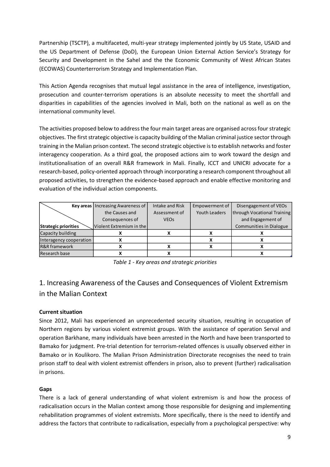Partnership (TSCTP), a multifaceted, multi-year strategy implemented jointly by US State, USAID and the US Department of Defense (DoD), the European Union External Action Service's Strategy for Security and Development in the Sahel and the the Economic Community of West African States (ECOWAS) Counterterrorism Strategy and Implementation Plan.

This Action Agenda recognises that mutual legal assistance in the area of intelligence, investigation, prosecution and counter-terrorism operations is an absolute necessity to meet the shortfall and disparities in capabilities of the agencies involved in Mali, both on the national as well as on the international community level.

The activities proposed below to address the four main target areas are organised across four strategic objectives. The first strategic objective is capacity building of the Malian criminal justice sector through training in the Malian prison context. The second strategic objective is to establish networks and foster interagency cooperation. As a third goal, the proposed actions aim to work toward the design and institutionalisation of an overall R&R framework in Mali. Finally, ICCT and UNICRI advocate for a research-based, policy-oriented approach through incorporating a research component throughout all proposed activities, to strengthen the evidence-based approach and enable effective monitoring and evaluation of the individual action components.

|                          | <b>Key areas</b>   Increasing Awareness of | Intake and Risk        | Empowerment of | Disengagement of VEOs          |
|--------------------------|--------------------------------------------|------------------------|----------------|--------------------------------|
|                          | the Causes and                             | Assessment of          | Youth Leaders  | through Vocational Training    |
|                          | Consequences of                            | <b>VEO<sub>S</sub></b> |                | and Engagement of              |
| Strategic priorities     | Violent Extremism in the                   |                        |                | <b>Communities in Dialogue</b> |
| Capacity building        |                                            |                        |                |                                |
| Interagency cooperation  |                                            |                        |                |                                |
| <b>R&amp;R</b> framework |                                            |                        |                |                                |
| Research base            |                                            |                        |                |                                |

*Table 1 - Key areas and strategic priorities*

### 1. Increasing Awareness of the Causes and Consequences of Violent Extremism in the Malian Context

#### **Current situation**

Since 2012, Mali has experienced an unprecedented security situation, resulting in occupation of Northern regions by various violent extremist groups. With the assistance of operation Serval and operation Barkhane, many individuals have been arrested in the North and have been transported to Bamako for judgment. Pre-trial detention for terrorism-related offences is usually observed either in Bamako or in Koulikoro. The Malian Prison Administration Directorate recognises the need to train prison staff to deal with violent extremist offenders in prison, also to prevent (further) radicalisation in prisons.

#### **Gaps**

There is a lack of general understanding of what violent extremism is and how the process of radicalisation occurs in the Malian context among those responsible for designing and implementing rehabilitation programmes of violent extremists. More specifically, there is the need to identify and address the factors that contribute to radicalisation, especially from a psychological perspective: why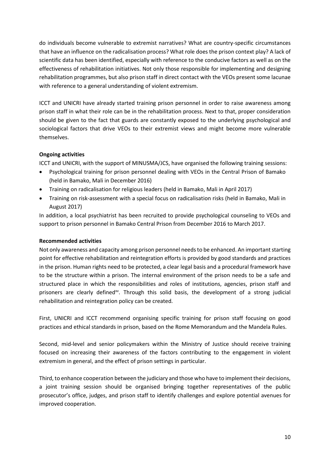do individuals become vulnerable to extremist narratives? What are country-specific circumstances that have an influence on the radicalisation process? What role does the prison context play? A lack of scientific data has been identified, especially with reference to the conducive factors as well as on the effectiveness of rehabilitation initiatives. Not only those responsible for implementing and designing rehabilitation programmes, but also prison staff in direct contact with the VEOs present some lacunae with reference to a general understanding of violent extremism.

ICCT and UNICRI have already started training prison personnel in order to raise awareness among prison staff in what their role can be in the rehabilitation process. Next to that, proper consideration should be given to the fact that guards are constantly exposed to the underlying psychological and sociological factors that drive VEOs to their extremist views and might become more vulnerable themselves.

#### **Ongoing activities**

ICCT and UNICRI, with the support of MINUSMA/JCS, have organised the following training sessions:

- Psychological training for prison personnel dealing with VEOs in the Central Prison of Bamako (held in Bamako, Mali in December 2016)
- Training on radicalisation for religious leaders (held in Bamako, Mali in April 2017)
- Training on risk-assessment with a special focus on radicalisation risks (held in Bamako, Mali in August 2017)

In addition, a local psychiatrist has been recruited to provide psychological counseling to VEOs and support to prison personnel in Bamako Central Prison from December 2016 to March 2017.

#### **Recommended activities**

Not only awareness and capacity among prison personnel needs to be enhanced. An important starting point for effective rehabilitation and reintegration efforts is provided by good standards and practices in the prison. Human rights need to be protected, a clear legal basis and a procedural framework have to be the structure within a prison. The internal environment of the prison needs to be a safe and structured place in which the responsibilities and roles of institutions, agencies, prison staff and prisoners are clearly defined<sup>xy</sup>. Through this solid basis, the development of a strong judicial rehabilitation and reintegration policy can be created.

First, UNICRI and ICCT recommend organising specific training for prison staff focusing on good practices and ethical standards in prison, based on the Rome Memorandum and the Mandela Rules.

Second, mid-level and senior policymakers within the Ministry of Justice should receive training focused on increasing their awareness of the factors contributing to the engagement in violent extremism in general, and the effect of prison settings in particular.

Third, to enhance cooperation between the judiciary and those who have to implement their decisions, a joint training session should be organised bringing together representatives of the public prosecutor's office, judges, and prison staff to identify challenges and explore potential avenues for improved cooperation.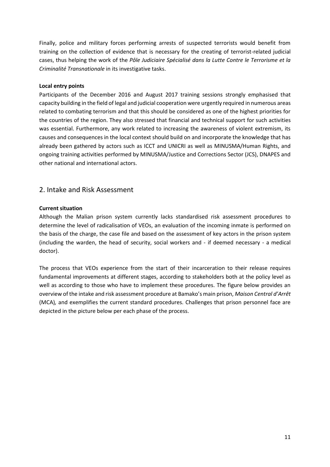Finally, police and military forces performing arrests of suspected terrorists would benefit from training on the collection of evidence that is necessary for the creating of terrorist-related judicial cases, thus helping the work of the *Pôle Judiciaire Spécialisé dans la Lutte Contre le Terrorisme et la Criminalité Transnationale* in its investigative tasks.

#### **Local entry points**

Participants of the December 2016 and August 2017 training sessions strongly emphasised that capacity building in the field of legal and judicial cooperation were urgently required in numerous areas related to combating terrorism and that this should be considered as one of the highest priorities for the countries of the region. They also stressed that financial and technical support for such activities was essential. Furthermore, any work related to increasing the awareness of violent extremism, its causes and consequences in the local context should build on and incorporate the knowledge that has already been gathered by actors such as ICCT and UNICRI as well as MINUSMA/Human Rights, and ongoing training activities performed by MINUSMA/Justice and Corrections Sector (JCS), DNAPES and other national and international actors.

### 2. Intake and Risk Assessment

#### **Current situation**

Although the Malian prison system currently lacks standardised risk assessment procedures to determine the level of radicalisation of VEOs, an evaluation of the incoming inmate is performed on the basis of the charge, the case file and based on the assessment of key actors in the prison system (including the warden, the head of security, social workers and - if deemed necessary - a medical doctor).

The process that VEOs experience from the start of their incarceration to their release requires fundamental improvements at different stages, according to stakeholders both at the policy level as well as according to those who have to implement these procedures. The figure below provides an overview of the intake and risk assessment procedure at Bamako's main prison, *Maison Central d'Arrêt*  (MCA)*,* and exemplifies the current standard procedures. Challenges that prison personnel face are depicted in the picture below per each phase of the process.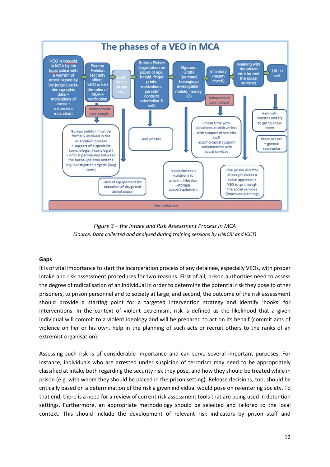

*Figure 3 – the Intake and Risk Assessment Process in MCA (Source: Data collected and analysed during training sessions by UNICRI and ICCT)*

#### **Gaps**

It is of vital importance to start the incarceration process of any detainee, especially VEOs, with proper intake and risk assessment procedures for two reasons. First of all, prison authorities need to assess the degree of radicalisation of an individual in order to determine the potential risk they pose to other prisoners, to prison personnel and to society at large, and second, the outcome of the risk assessment should provide a starting point for a targeted intervention strategy and identify 'hooks' for interventions. In the context of violent extremism, risk is defined as the likelihood that a given individual will commit to a violent ideology and will be prepared to act on its behalf (commit acts of violence on her or his own, help in the planning of such acts or recruit others to the ranks of an extremist organisation).

Assessing such risk is of considerable importance and can serve several important purposes. For instance, individuals who are arrested under suspicion of terrorism may need to be appropriately classified at intake both regarding the security risk they pose, and how they should be treated while in prison (e.g. with whom they should be placed in the prison setting). Release decisions, too, should be critically based on a determination of the risk a given individual would pose on re-entering society. To that end, there is a need for a review of current risk assessment tools that are being used in detention settings. Furthermore, an appropriate methodology should be selected and tailored to the local context. This should include the development of relevant risk indicators by prison staff and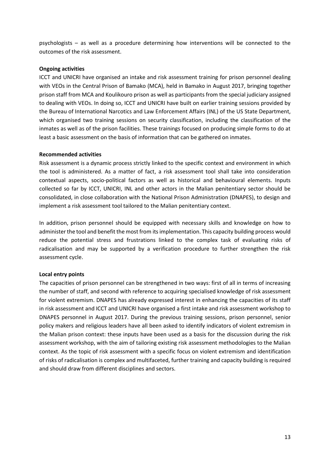psychologists – as well as a procedure determining how interventions will be connected to the outcomes of the risk assessment.

#### **Ongoing activities**

ICCT and UNICRI have organised an intake and risk assessment training for prison personnel dealing with VEOs in the Central Prison of Bamako (MCA), held in Bamako in August 2017, bringing together prison staff from MCA and Koulikouro prison as well as participants from the special judiciary assigned to dealing with VEOs. In doing so, ICCT and UNICRI have built on earlier training sessions provided by the Bureau of International Narcotics and Law Enforcement Affairs (INL) of the US State Department, which organised two training sessions on security classification, including the classification of the inmates as well as of the prison facilities. These trainings focused on producing simple forms to do at least a basic assessment on the basis of information that can be gathered on inmates.

#### **Recommended activities**

Risk assessment is a dynamic process strictly linked to the specific context and environment in which the tool is administered. As a matter of fact, a risk assessment tool shall take into consideration contextual aspects, socio-political factors as well as historical and behavioural elements. Inputs collected so far by ICCT, UNICRI, INL and other actors in the Malian penitentiary sector should be consolidated, in close collaboration with the National Prison Administration (DNAPES), to design and implement a risk assessment tool tailored to the Malian penitentiary context.

In addition, prison personnel should be equipped with necessary skills and knowledge on how to administer the tool and benefit the most from its implementation. This capacity building process would reduce the potential stress and frustrations linked to the complex task of evaluating risks of radicalisation and may be supported by a verification procedure to further strengthen the risk assessment cycle.

#### **Local entry points**

The capacities of prison personnel can be strengthened in two ways: first of all in terms of increasing the number of staff, and second with reference to acquiring specialised knowledge of risk assessment for violent extremism. DNAPES has already expressed interest in enhancing the capacities of its staff in risk assessment and ICCT and UNICRI have organised a first intake and risk assessment workshop to DNAPES personnel in August 2017. During the previous training sessions, prison personnel, senior policy makers and religious leaders have all been asked to identify indicators of violent extremism in the Malian prison context: these inputs have been used as a basis for the discussion during the risk assessment workshop, with the aim of tailoring existing risk assessment methodologies to the Malian context. As the topic of risk assessment with a specific focus on violent extremism and identification of risks of radicalisation is complex and multifaceted, further training and capacity building is required and should draw from different disciplines and sectors.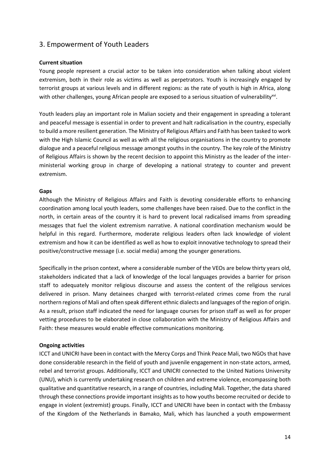### 3. Empowerment of Youth Leaders

#### **Current situation**

Young people represent a crucial actor to be taken into consideration when talking about violent extremism, both in their role as victims as well as perpetrators. Youth is increasingly engaged by terrorist groups at various levels and in different regions: as the rate of youth is high in Africa, along with other challenges, young African people are exposed to a serious situation of vulnerability<sup>xvi</sup>.

Youth leaders play an important role in Malian society and their engagement in spreading a tolerant and peaceful message is essential in order to prevent and halt radicalisation in the country, especially to build a more resilient generation. The Ministry of Religious Affairs and Faith has been tasked to work with the High Islamic Council as well as with all the religious organisations in the country to promote dialogue and a peaceful religious message amongst youths in the country. The key role of the Ministry of Religious Affairs is shown by the recent decision to appoint this Ministry as the leader of the interministerial working group in charge of developing a national strategy to counter and prevent extremism.

#### **Gaps**

Although the Ministry of Religious Affairs and Faith is devoting considerable efforts to enhancing coordination among local youth leaders, some challenges have been raised. Due to the conflict in the north, in certain areas of the country it is hard to prevent local radicalised imams from spreading messages that fuel the violent extremism narrative. A national coordination mechanism would be helpful in this regard. Furthermore, moderate religious leaders often lack knowledge of violent extremism and how it can be identified as well as how to exploit innovative technology to spread their positive/constructive message (i.e. social media) among the younger generations.

Specifically in the prison context, where a considerable number of the VEOs are below thirty years old, stakeholders indicated that a lack of knowledge of the local languages provides a barrier for prison staff to adequately monitor religious discourse and assess the content of the religious services delivered in prison. Many detainees charged with terrorist-related crimes come from the rural northern regions of Mali and often speak different ethnic dialects and languages of the region of origin. As a result, prison staff indicated the need for language courses for prison staff as well as for proper vetting procedures to be elaborated in close collaboration with the Ministry of Religious Affairs and Faith: these measures would enable effective communications monitoring.

#### **Ongoing activities**

ICCT and UNICRI have been in contact with the Mercy Corps and Think Peace Mali, two NGOs that have done considerable research in the field of youth and juvenile engagement in non-state actors, armed, rebel and terrorist groups. Additionally, ICCT and UNICRI connected to the United Nations University (UNU), which is currently undertaking research on children and extreme violence, encompassing both qualitative and quantitative research, in a range of countries, including Mali. Together, the data shared through these connections provide important insights as to how youths become recruited or decide to engage in violent (extremist) groups. Finally, ICCT and UNICRI have been in contact with the Embassy of the Kingdom of the Netherlands in Bamako, Mali, which has launched a youth empowerment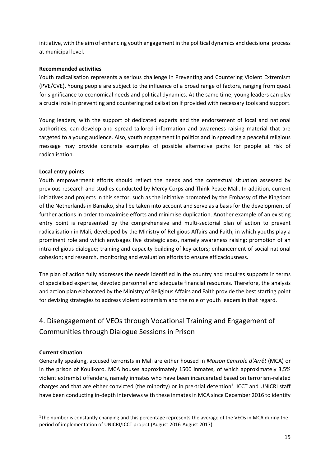initiative, with the aim of enhancing youth engagement in the political dynamics and decisional process at municipal level.

#### **Recommended activities**

Youth radicalisation represents a serious challenge in Preventing and Countering Violent Extremism (PVE/CVE). Young people are subject to the influence of a broad range of factors, ranging from quest for significance to economical needs and political dynamics. At the same time, young leaders can play a crucial role in preventing and countering radicalisation if provided with necessary tools and support.

Young leaders, with the support of dedicated experts and the endorsement of local and national authorities, can develop and spread tailored information and awareness raising material that are targeted to a young audience. Also, youth engagement in politics and in spreading a peaceful religious message may provide concrete examples of possible alternative paths for people at risk of radicalisation.

#### **Local entry points**

Youth empowerment efforts should reflect the needs and the contextual situation assessed by previous research and studies conducted by Mercy Corps and Think Peace Mali. In addition, current initiatives and projects in this sector, such as the initiative promoted by the Embassy of the Kingdom of the Netherlands in Bamako, shall be taken into account and serve as a basis for the development of further actions in order to maximise efforts and minimise duplication. Another example of an existing entry point is represented by the comprehensive and multi-sectorial plan of action to prevent radicalisation in Mali, developed by the Ministry of Religious Affairs and Faith, in which youths play a prominent role and which envisages five strategic axes, namely awareness raising; promotion of an intra-religious dialogue; training and capacity building of key actors; enhancement of social national cohesion; and research, monitoring and evaluation efforts to ensure efficaciousness.

The plan of action fully addresses the needs identified in the country and requires supports in terms of specialised expertise, devoted personnel and adequate financial resources. Therefore, the analysis and action plan elaborated by the Ministry of Religious Affairs and Faith provide the best starting point for devising strategies to address violent extremism and the role of youth leaders in that regard.

### 4. Disengagement of VEOs through Vocational Training and Engagement of Communities through Dialogue Sessions in Prison

#### **Current situation**

**.** 

Generally speaking, accused terrorists in Mali are either housed in *Maison Centrale d'Arrêt* (MCA) or in the prison of Koulikoro. MCA houses approximately 1500 inmates, of which approximately 3,5% violent extremist offenders, namely inmates who have been incarcerated based on terrorism-related charges and that are either convicted (the minority) or in pre-trial detention<sup>1</sup>. ICCT and UNICRI staff have been conducting in-depth interviews with these inmates in MCA since December 2016 to identify

<sup>&</sup>lt;sup>1</sup>The number is constantly changing and this percentage represents the average of the VEOs in MCA during the period of implementation of UNICRI/ICCT project (August 2016-August 2017)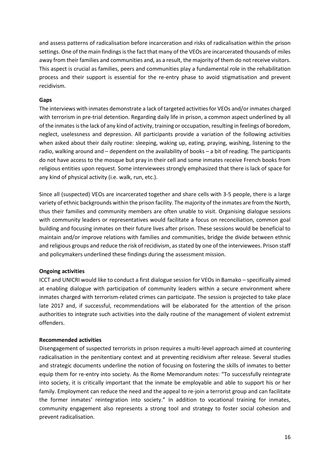and assess patterns of radicalisation before incarceration and risks of radicalisation within the prison settings. One of the main findings is the fact that many of the VEOs are incarcerated thousands of miles away from their families and communities and, as a result, the majority of them do not receive visitors. This aspect is crucial as families, peers and communities play a fundamental role in the rehabilitation process and their support is essential for the re-entry phase to avoid stigmatisation and prevent recidivism.

#### **Gaps**

The interviews with inmates demonstrate a lack of targeted activities for VEOs and/or inmates charged with terrorism in pre-trial detention. Regarding daily life in prison, a common aspect underlined by all of the inmates is the lack of any kind of activity, training or occupation, resulting in feelings of boredom, neglect, uselessness and depression. All participants provide a variation of the following activities when asked about their daily routine: sleeping, waking up, eating, praying, washing, listening to the radio, walking around and – dependent on the availability of books – a bit of reading. The participants do not have access to the mosque but pray in their cell and some inmates receive French books from religious entities upon request. Some interviewees strongly emphasized that there is lack of space for any kind of physical activity (i.e. walk, run, etc.).

Since all (suspected) VEOs are incarcerated together and share cells with 3-5 people, there is a large variety of ethnic backgrounds within the prison facility. The majority of the inmates are from the North, thus their families and community members are often unable to visit. Organising dialogue sessions with community leaders or representatives would facilitate a focus on reconciliation, common goal building and focusing inmates on their future lives after prison. These sessions would be beneficial to maintain and/or improve relations with families and communities, bridge the divide between ethnic and religious groups and reduce the risk of recidivism, as stated by one of the interviewees. Prison staff and policymakers underlined these findings during the assessment mission.

#### **Ongoing activities**

ICCT and UNICRI would like to conduct a first dialogue session for VEOs in Bamako – specifically aimed at enabling dialogue with participation of community leaders within a secure environment where inmates charged with terrorism-related crimes can participate. The session is projected to take place late 2017 and, if successful, recommendations will be elaborated for the attention of the prison authorities to integrate such activities into the daily routine of the management of violent extremist offenders.

#### **Recommended activities**

Disengagement of suspected terrorists in prison requires a multi-level approach aimed at countering radicalisation in the penitentiary context and at preventing recidivism after release. Several studies and strategic documents underline the notion of focusing on fostering the skills of inmates to better equip them for re-entry into society. As the Rome Memorandum notes: "To successfully reintegrate into society, it is critically important that the inmate be employable and able to support his or her family. Employment can reduce the need and the appeal to re-join a terrorist group and can facilitate the former inmates' reintegration into society." In addition to vocational training for inmates, community engagement also represents a strong tool and strategy to foster social cohesion and prevent radicalisation.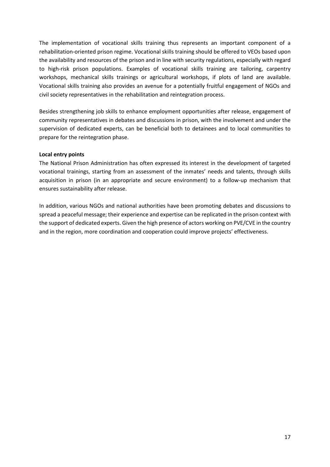The implementation of vocational skills training thus represents an important component of a rehabilitation-oriented prison regime. Vocational skills training should be offered to VEOs based upon the availability and resources of the prison and in line with security regulations, especially with regard to high-risk prison populations. Examples of vocational skills training are tailoring, carpentry workshops, mechanical skills trainings or agricultural workshops, if plots of land are available. Vocational skills training also provides an avenue for a potentially fruitful engagement of NGOs and civil society representatives in the rehabilitation and reintegration process.

Besides strengthening job skills to enhance employment opportunities after release, engagement of community representatives in debates and discussions in prison, with the involvement and under the supervision of dedicated experts, can be beneficial both to detainees and to local communities to prepare for the reintegration phase.

#### **Local entry points**

The National Prison Administration has often expressed its interest in the development of targeted vocational trainings, starting from an assessment of the inmates' needs and talents, through skills acquisition in prison (in an appropriate and secure environment) to a follow-up mechanism that ensures sustainability after release.

In addition, various NGOs and national authorities have been promoting debates and discussions to spread a peaceful message; their experience and expertise can be replicated in the prison context with the support of dedicated experts. Given the high presence of actors working on PVE/CVE in the country and in the region, more coordination and cooperation could improve projects' effectiveness.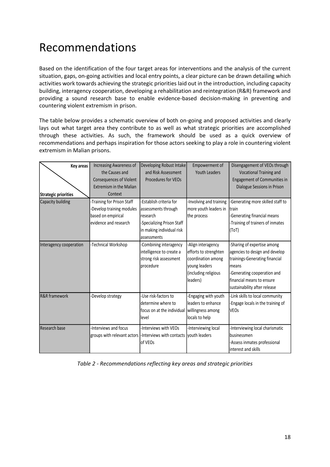# Recommendations

Based on the identification of the four target areas for interventions and the analysis of the current situation, gaps, on-going activities and local entry points, a clear picture can be drawn detailing which activities work towards achieving the strategic priorities laid out in the introduction, including capacity building, interagency cooperation, developing a rehabilitation and reintegration (R&R) framework and providing a sound research base to enable evidence-based decision-making in preventing and countering violent extremism in prison.

The table below provides a schematic overview of both on-going and proposed activities and clearly lays out what target area they contribute to as well as what strategic priorities are accomplished through these activities. As such, the framework should be used as a quick overview of recommendations and perhaps inspiration for those actors seeking to play a role in countering violent extremism in Malian prisons.

| Key areas                   | Increasing Awareness of<br>the Causes and<br><b>Consequences of Violent</b><br><b>Extremism in the Malian</b> | Developing Robust Intake<br>and Risk Assessment<br>Procedures for VEOs                                                               | Empowerment of<br><b>Youth Leaders</b>                                                                                 | Disengagement of VEOs through<br>Vocational Training and<br>Engagement of Communities in<br>Dialogue Sessions in Prison                                                                              |
|-----------------------------|---------------------------------------------------------------------------------------------------------------|--------------------------------------------------------------------------------------------------------------------------------------|------------------------------------------------------------------------------------------------------------------------|------------------------------------------------------------------------------------------------------------------------------------------------------------------------------------------------------|
| <b>Strategic priorities</b> | Context                                                                                                       |                                                                                                                                      |                                                                                                                        |                                                                                                                                                                                                      |
| Capacity building           | Training for Prison Staff<br>-Develop training modules<br>based on empirical<br>evidence and research         | Establish criteria for<br>assessments through<br>research<br>-Specializing Prison Staff<br>in making individual risk<br>lassessments | -Involving and training<br>more youth leaders in<br>the process                                                        | -Generating more skilled staff to<br>Itrain<br>Generating financial means<br>-Training of trainers of inmates<br>(ToT)                                                                               |
| Interagency cooperation     | -Technical Workshop                                                                                           | -Combining interagency<br>intelligence to create a<br>strong risk assessment<br>procedure                                            | -Align interagency<br>efforts to strenghten<br>coordination among<br>young leaders<br>(including religious<br>leaders) | -Sharing of expertise among<br>agencies to design and develop<br>trainings-Generating financial<br>means<br>-Generating cooperation and<br>financial means to ensure<br>sustainability after release |
| <b>R&amp;R</b> framework    | -Develop strategy                                                                                             | -Use risk-factors to<br>determine where to<br>focus on at the individual<br>level                                                    | Engaging with youth<br>lleaders to enhance<br>willingness among<br>locals to help                                      | -Link skills to local community<br>Engage locals in the training of<br><b>VEOs</b>                                                                                                                   |
| Research base               | -Interviews and focus<br>groups with relevant actors  -Interviews with contacts                               | -Interviews with VEOs<br>of VEOs                                                                                                     | -Interviewing local<br><b>Ivouth leaders</b>                                                                           | -Interviewing local charismatic<br>businessmen<br>Assess inmates professional<br>interest and skills                                                                                                 |

*Table 2 - Recommendations reflecting key areas and strategic priorities*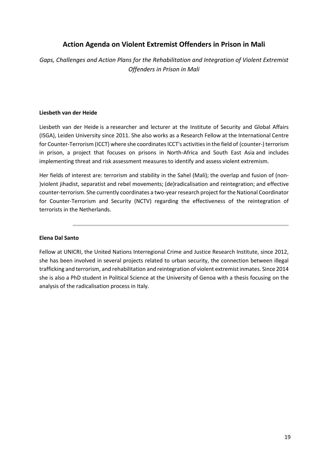### **Action Agenda on Violent Extremist Offenders in Prison in Mali**

*Gaps, Challenges and Action Plans for the Rehabilitation and Integration of Violent Extremist Offenders in Prison in Mali*

#### **Liesbeth van der Heide**

Liesbeth van der Heide is a researcher and lecturer at the Institute of Security and Global Affairs (ISGA), Leiden University since 2011. She also works as a Research Fellow at the International Centre for Counter-Terrorism (ICCT) where she coordinates ICCT's activities in the field of (counter-) terrorism in prison, a project that focuses on prisons in North-Africa and South East Asia and includes implementing threat and risk assessment measures to identify and assess violent extremism.

Her fields of interest are: terrorism and stability in the Sahel (Mali); the overlap and fusion of (non- )violent jihadist, separatist and rebel movements; (de)radicalisation and reintegration; and effective counter-terrorism. She currently coordinates a two-year research project for the National Coordinator for Counter-Terrorism and Security (NCTV) regarding the effectiveness of the reintegration of terrorists in the Netherlands.

#### **Elena Dal Santo**

Fellow at UNICRI, the United Nations Interregional Crime and Justice Research Institute, since 2012, she has been involved in several projects related to urban security, the connection between illegal trafficking and terrorism, and rehabilitation and reintegration of violent extremist inmates. Since 2014 she is also a PhD student in Political Science at the University of Genoa with a thesis focusing on the analysis of the radicalisation process in Italy.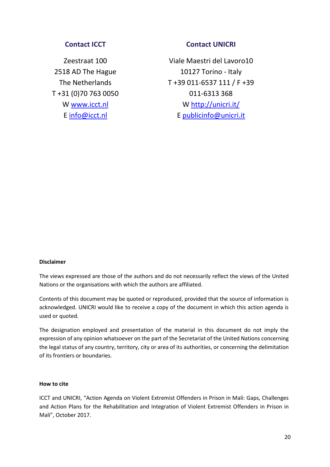### **Contact ICCT**

Zeestraat 100 2518 AD The Hague The Netherlands T +31 (0)70 763 0050 W [www.icct.nl](http://www.icct.nl/) E [info@icct.nl](mailto:info@icct.nl)

#### **Contact UNICRI**

Viale Maestri del Lavoro10 10127 Torino - Italy T +39 011-6537 111 / F +39 011-6313 368 W<http://unicri.it/> E publicinfo@unicri.it

#### **Disclaimer**

The views expressed are those of the authors and do not necessarily reflect the views of the United Nations or the organisations with which the authors are affiliated.

Contents of this document may be quoted or reproduced, provided that the source of information is acknowledged. UNICRI would like to receive a copy of the document in which this action agenda is used or quoted.

The designation employed and presentation of the material in this document do not imply the expression of any opinion whatsoever on the part of the Secretariat of the United Nations concerning the legal status of any country, territory, city or area of its authorities, or concerning the delimitation of its frontiers or boundaries.

#### **How to cite**

ICCT and UNICRI, "Action Agenda on Violent Extremist Offenders in Prison in Mali: Gaps, Challenges and Action Plans for the Rehabilitation and Integration of Violent Extremist Offenders in Prison in Mali", October 2017.